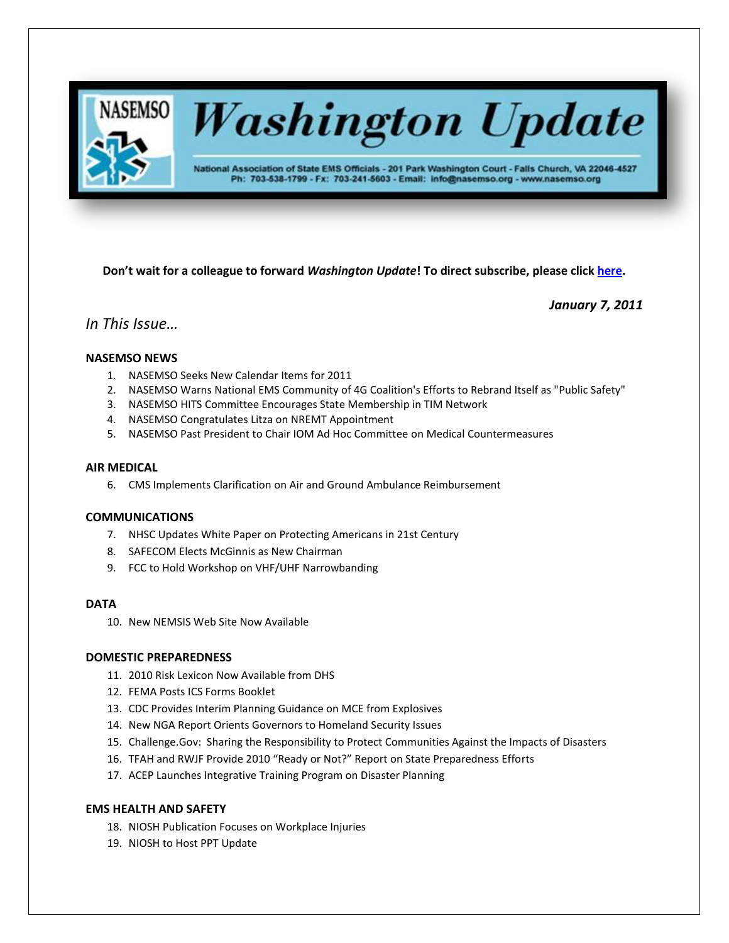

**Washington Update** 

National Association of State EMS Officials - 201 Park Washington Court - Falls Church, VA 22046-4527 Ph: 703-538-1799 - Fx: 703-241-5603 - Email: info@nasemso.org - www.nasemso.org

**Don't wait for a colleague to forward** *Washington Update***! To direct subscribe, please click [here.](http://lists.nasemso.org/read/all_forums/subscribe?name=wu%20)**

*January 7, 2011*

# *In This Issue…*

## **NASEMSO NEWS**

- 1. NASEMSO Seeks New Calendar Items for 2011
- 2. NASEMSO Warns National EMS Community of 4G Coalition's Efforts to Rebrand Itself as "Public Safety"
- 3. NASEMSO HITS Committee Encourages State Membership in TIM Network
- 4. NASEMSO Congratulates Litza on NREMT Appointment
- 5. NASEMSO Past President to Chair IOM Ad Hoc Committee on Medical Countermeasures

## **AIR MEDICAL**

6. CMS Implements Clarification on Air and Ground Ambulance Reimbursement

## **COMMUNICATIONS**

- 7. NHSC Updates White Paper on Protecting Americans in 21st Century
- 8. SAFECOM Elects McGinnis as New Chairman
- 9. FCC to Hold Workshop on VHF/UHF Narrowbanding

### **DATA**

10. New NEMSIS Web Site Now Available

## **DOMESTIC PREPAREDNESS**

- 11. 2010 Risk Lexicon Now Available from DHS
- 12. FEMA Posts ICS Forms Booklet
- 13. CDC Provides Interim Planning Guidance on MCE from Explosives
- 14. New NGA Report Orients Governors to Homeland Security Issues
- 15. Challenge.Gov: Sharing the Responsibility to Protect Communities Against the Impacts of Disasters
- 16. TFAH and RWJF Provide 2010 "Ready or Not?" Report on State Preparedness Efforts
- 17. ACEP Launches Integrative Training Program on Disaster Planning

### **EMS HEALTH AND SAFETY**

- 18. NIOSH Publication Focuses on Workplace Injuries
- 19. NIOSH to Host PPT Update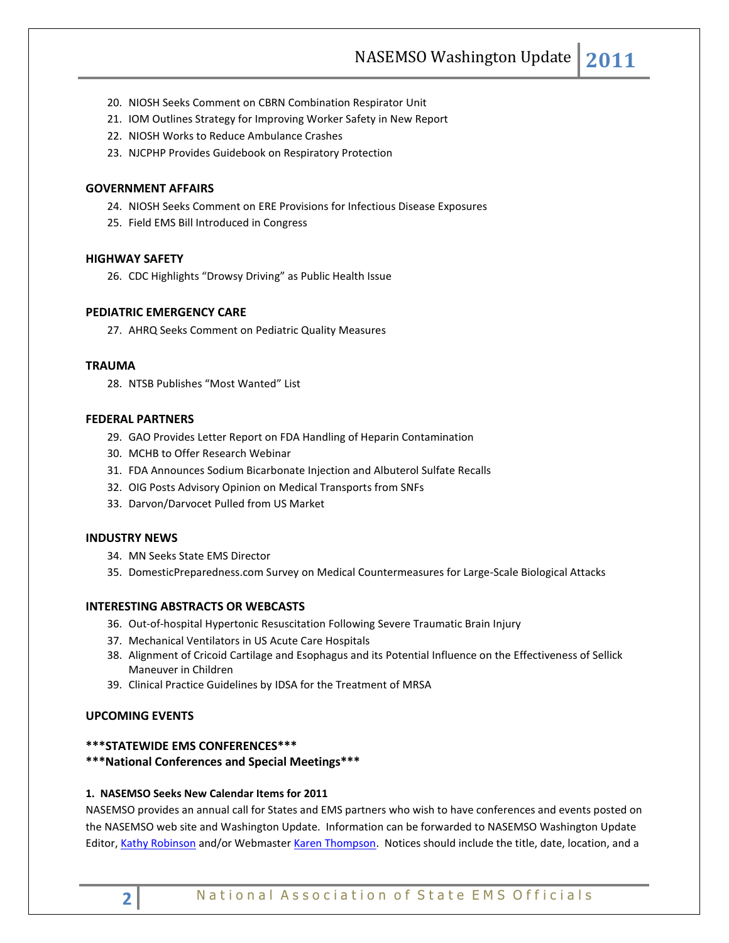- 20. NIOSH Seeks Comment on CBRN Combination Respirator Unit
- 21. IOM Outlines Strategy for Improving Worker Safety in New Report
- 22. NIOSH Works to Reduce Ambulance Crashes
- 23. NJCPHP Provides Guidebook on Respiratory Protection

### **GOVERNMENT AFFAIRS**

- 24. NIOSH Seeks Comment on ERE Provisions for Infectious Disease Exposures
- 25. Field EMS Bill Introduced in Congress

#### **HIGHWAY SAFETY**

26. CDC Highlights "Drowsy Driving" as Public Health Issue

## **PEDIATRIC EMERGENCY CARE**

27. AHRQ Seeks Comment on Pediatric Quality Measures

### **TRAUMA**

28. NTSB Publishes "Most Wanted" List

### **FEDERAL PARTNERS**

- 29. GAO Provides Letter Report on FDA Handling of Heparin Contamination
- 30. MCHB to Offer Research Webinar
- 31. FDA Announces Sodium Bicarbonate Injection and Albuterol Sulfate Recalls
- 32. OIG Posts Advisory Opinion on Medical Transports from SNFs
- 33. Darvon/Darvocet Pulled from US Market

### **INDUSTRY NEWS**

- 34. MN Seeks State EMS Director
- 35. DomesticPreparedness.com Survey on Medical Countermeasures for Large-Scale Biological Attacks

### **INTERESTING ABSTRACTS OR WEBCASTS**

- 36. Out-of-hospital Hypertonic Resuscitation Following Severe Traumatic Brain Injury
- 37. Mechanical Ventilators in US Acute Care Hospitals
- 38. Alignment of Cricoid Cartilage and Esophagus and its Potential Influence on the Effectiveness of Sellick Maneuver in Children
- 39. Clinical Practice Guidelines by IDSA for the Treatment of MRSA

## **UPCOMING EVENTS**

## **\*\*\*STATEWIDE EMS CONFERENCES\*\*\***

## **\*\*\*National Conferences and Special Meetings\*\*\***

### **1. NASEMSO Seeks New Calendar Items for 2011**

NASEMSO provides an annual call for States and EMS partners who wish to have conferences and events posted on the NASEMSO web site and Washington Update. Information can be forwarded to NASEMSO Washington Update Editor[, Kathy Robinson](mailto:Robinson@nasemso.org) and/or Webmaster [Karen Thompson.](mailto:thompson@nasemso.org) Notices should include the title, date, location, and a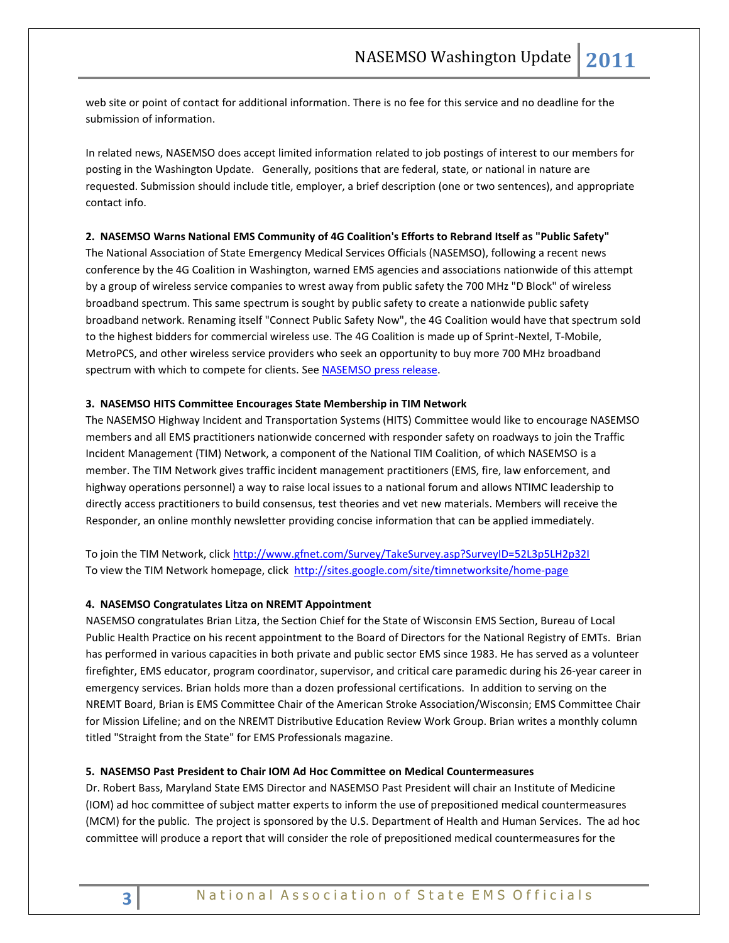web site or point of contact for additional information. There is no fee for this service and no deadline for the submission of information.

In related news, NASEMSO does accept limited information related to job postings of interest to our members for posting in the Washington Update. Generally, positions that are federal, state, or national in nature are requested. Submission should include title, employer, a brief description (one or two sentences), and appropriate contact info.

#### **2. NASEMSO Warns National EMS Community of 4G Coalition's Efforts to Rebrand Itself as "Public Safety"**

The National Association of State Emergency Medical Services Officials (NASEMSO), following a recent news conference by the 4G Coalition in Washington, warned EMS agencies and associations nationwide of this attempt by a group of wireless service companies to wrest away from public safety the 700 MHz "D Block" of wireless broadband spectrum. This same spectrum is sought by public safety to create a nationwide public safety broadband network. Renaming itself "Connect Public Safety Now", the 4G Coalition would have that spectrum sold to the highest bidders for commercial wireless use. The 4G Coalition is made up of Sprint-Nextel, T-Mobile, MetroPCS, and other wireless service providers who seek an opportunity to buy more 700 MHz broadband spectrum with which to compete for clients. Se[e NASEMSO press release.](http://www.nasemso.org/Advocacy/PressRoom/documents/NASEMSONewsRelease121310.pdf)

### **3. NASEMSO HITS Committee Encourages State Membership in TIM Network**

The NASEMSO Highway Incident and Transportation Systems (HITS) Committee would like to encourage NASEMSO members and all EMS practitioners nationwide concerned with responder safety on roadways to join the Traffic Incident Management (TIM) Network, a component of the National TIM Coalition, of which NASEMSO is a member. The TIM Network gives traffic incident management practitioners (EMS, fire, law enforcement, and highway operations personnel) a way to raise local issues to a national forum and allows NTIMC leadership to directly access practitioners to build consensus, test theories and vet new materials. Members will receive the Responder, an online monthly newsletter providing concise information that can be applied immediately.

To join the TIM Network, click<http://www.gfnet.com/Survey/TakeSurvey.asp?SurveyID=52L3p5LH2p32I> To view the TIM Network homepage, click <http://sites.google.com/site/timnetworksite/home-page>

### **4. NASEMSO Congratulates Litza on NREMT Appointment**

NASEMSO congratulates Brian Litza, the Section Chief for the State of Wisconsin EMS Section, Bureau of Local Public Health Practice on his recent appointment to the Board of Directors for the National Registry of EMTs. Brian has performed in various capacities in both private and public sector EMS since 1983. He has served as a volunteer firefighter, EMS educator, program coordinator, supervisor, and critical care paramedic during his 26-year career in emergency services. Brian holds more than a dozen professional certifications. In addition to serving on the NREMT Board, Brian is EMS Committee Chair of the American Stroke Association/Wisconsin; EMS Committee Chair for Mission Lifeline; and on the NREMT Distributive Education Review Work Group. Brian writes a monthly column titled "Straight from the State" for EMS Professionals magazine.

### **5. NASEMSO Past President to Chair IOM Ad Hoc Committee on Medical Countermeasures**

Dr. Robert Bass, Maryland State EMS Director and NASEMSO Past President will chair an Institute of Medicine (IOM) ad hoc committee of subject matter experts to inform the use of prepositioned medical countermeasures (MCM) for the public. The project is sponsored by the U.S. Department of Health and Human Services. The ad hoc committee will produce a report that will consider the role of prepositioned medical countermeasures for the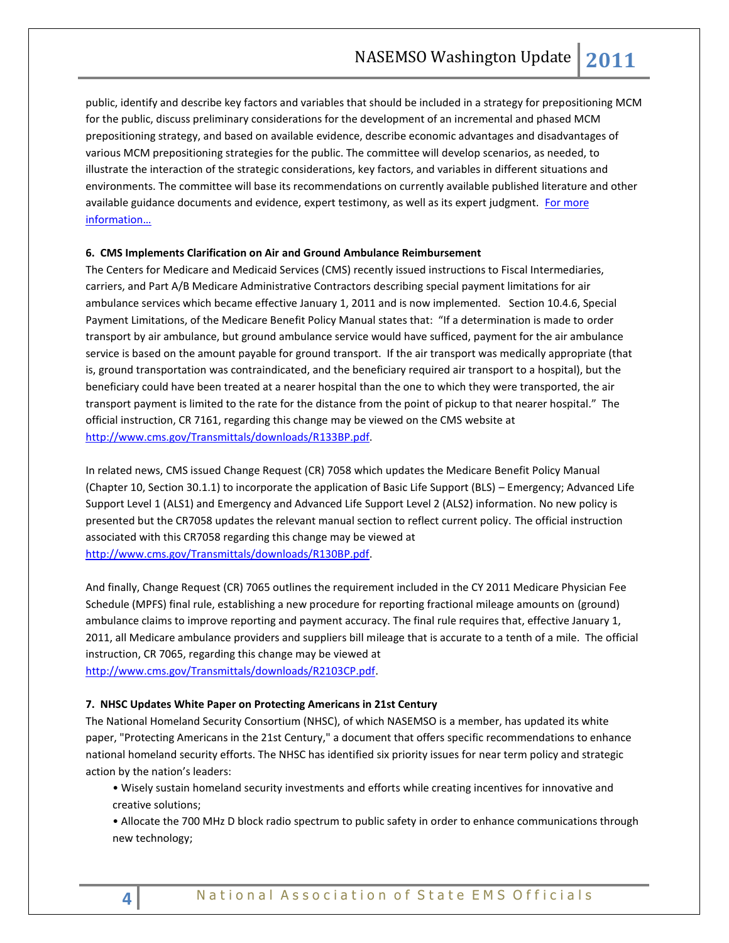public, identify and describe key factors and variables that should be included in a strategy for prepositioning MCM for the public, discuss preliminary considerations for the development of an incremental and phased MCM prepositioning strategy, and based on available evidence, describe economic advantages and disadvantages of various MCM prepositioning strategies for the public. The committee will develop scenarios, as needed, to illustrate the interaction of the strategic considerations, key factors, and variables in different situations and environments. The committee will base its recommendations on currently available published literature and other available guidance documents and evidence, expert testimony, as well as its expert judgment. For more [information…](http://iom.edu/Activities/PublicHealth/PrepositionedCountermeasures.aspx)

### **6. CMS Implements Clarification on Air and Ground Ambulance Reimbursement**

The Centers for Medicare and Medicaid Services (CMS) recently issued instructions to Fiscal Intermediaries, carriers, and Part A/B Medicare Administrative Contractors describing special payment limitations for air ambulance services which became effective January 1, 2011 and is now implemented. Section 10.4.6, Special Payment Limitations, of the Medicare Benefit Policy Manual states that: "If a determination is made to order transport by air ambulance, but ground ambulance service would have sufficed, payment for the air ambulance service is based on the amount payable for ground transport. If the air transport was medically appropriate (that is, ground transportation was contraindicated, and the beneficiary required air transport to a hospital), but the beneficiary could have been treated at a nearer hospital than the one to which they were transported, the air transport payment is limited to the rate for the distance from the point of pickup to that nearer hospital." The official instruction, CR 7161, regarding this change may be viewed on the CMS website at [http://www.cms.gov/Transmittals/downloads/R133BP.pdf.](http://www.cms.gov/Transmittals/downloads/R133BP.pdf)

In related news, CMS issued Change Request (CR) 7058 which updates the Medicare Benefit Policy Manual (Chapter 10, Section 30.1.1) to incorporate the application of Basic Life Support (BLS) – Emergency; Advanced Life Support Level 1 (ALS1) and Emergency and Advanced Life Support Level 2 (ALS2) information. No new policy is presented but the CR7058 updates the relevant manual section to reflect current policy. The official instruction associated with this CR7058 regarding this change may be viewed at [http://www.cms.gov/Transmittals/downloads/R130BP.pdf.](http://www.cms.gov/Transmittals/downloads/R130BP.pdf) 

And finally, Change Request (CR) 7065 outlines the requirement included in the CY 2011 Medicare Physician Fee Schedule (MPFS) final rule, establishing a new procedure for reporting fractional mileage amounts on (ground) ambulance claims to improve reporting and payment accuracy. The final rule requires that, effective January 1, 2011, all Medicare ambulance providers and suppliers bill mileage that is accurate to a tenth of a mile. The official instruction, CR 7065, regarding this change may be viewed at [http://www.cms.gov/Transmittals/downloads/R2103CP.pdf.](http://www.cms.gov/Transmittals/downloads/R2103CP.pdf) 

### **7. NHSC Updates White Paper on Protecting Americans in 21st Century**

The National Homeland Security Consortium (NHSC), of which NASEMSO is a member, has updated its white paper, "Protecting Americans in the 21st Century," a document that offers specific recommendations to enhance national homeland security efforts. The NHSC has identified six priority issues for near term policy and strategic action by the nation's leaders:

- Wisely sustain homeland security investments and efforts while creating incentives for innovative and creative solutions;
- Allocate the 700 MHz D block radio spectrum to public safety in order to enhance communications through new technology;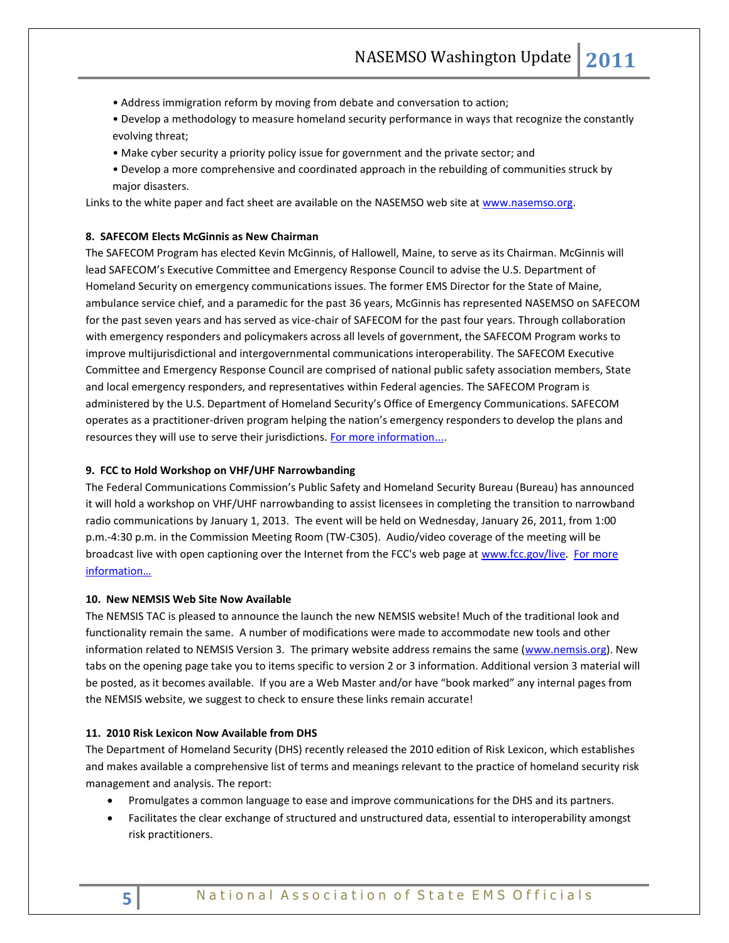- Address immigration reform by moving from debate and conversation to action;
- Develop a methodology to measure homeland security performance in ways that recognize the constantly evolving threat;
- Make cyber security a priority policy issue for government and the private sector; and
- Develop a more comprehensive and coordinated approach in the rebuilding of communities struck by major disasters.

Links to the white paper and fact sheet are available on the NASEMSO web site at www.nasemso.org.

## **8. SAFECOM Elects McGinnis as New Chairman**

The SAFECOM Program has elected Kevin McGinnis, of Hallowell, Maine, to serve as its Chairman. McGinnis will lead SAFECOM's Executive Committee and Emergency Response Council to advise the U.S. Department of Homeland Security on emergency communications issues. The former EMS Director for the State of Maine, ambulance service chief, and a paramedic for the past 36 years, McGinnis has represented NASEMSO on SAFECOM for the past seven years and has served as vice-chair of SAFECOM for the past four years. Through collaboration with emergency responders and policymakers across all levels of government, the SAFECOM Program works to improve multijurisdictional and intergovernmental communications interoperability. The SAFECOM Executive Committee and Emergency Response Council are comprised of national public safety association members, State and local emergency responders, and representatives within Federal agencies. The SAFECOM Program is administered by the U.S. Department of Homeland Security's Office of Emergency Communications. SAFECOM operates as a practitioner-driven program helping the nation's emergency responders to develop the plans and resources they will use to serve their jurisdictions. [For more information....](http://www.safecomprogram.gov/SAFECOM/)

#### **9. FCC to Hold Workshop on VHF/UHF Narrowbanding**

The Federal Communications Commission's Public Safety and Homeland Security Bureau (Bureau) has announced it will hold a workshop on VHF/UHF narrowbanding to assist licensees in completing the transition to narrowband radio communications by January 1, 2013. The event will be held on Wednesday, January 26, 2011, from 1:00 p.m.-4:30 p.m. in the Commission Meeting Room (TW-C305). Audio/video coverage of the meeting will be broadcast live with open captioning over the Internet from the FCC's web page at [www.fcc.gov/live.](http://www.fcc.gov/live) For more [information…](http://www.fcc.gov/pshs/public-safety-spectrum/narrowbanding.html)

#### **10. New NEMSIS Web Site Now Available**

The NEMSIS TAC is pleased to announce the launch the new NEMSIS website! Much of the traditional look and functionality remain the same. A number of modifications were made to accommodate new tools and other information related to NEMSIS Version 3. The primary website address remains the same [\(www.nemsis.org\)](http://www.nemsis.org/). New tabs on the opening page take you to items specific to version 2 or 3 information. Additional version 3 material will be posted, as it becomes available. If you are a Web Master and/or have "book marked" any internal pages from the NEMSIS website, we suggest to check to ensure these links remain accurate!

## **11. 2010 Risk Lexicon Now Available from DHS**

The Department of Homeland Security (DHS) recently released the 2010 edition of Risk Lexicon, which establishes and makes available a comprehensive list of terms and meanings relevant to the practice of homeland security risk management and analysis. The report:

- Promulgates a common language to ease and improve communications for the DHS and its partners.
- Facilitates the clear exchange of structured and unstructured data, essential to interoperability amongst risk practitioners.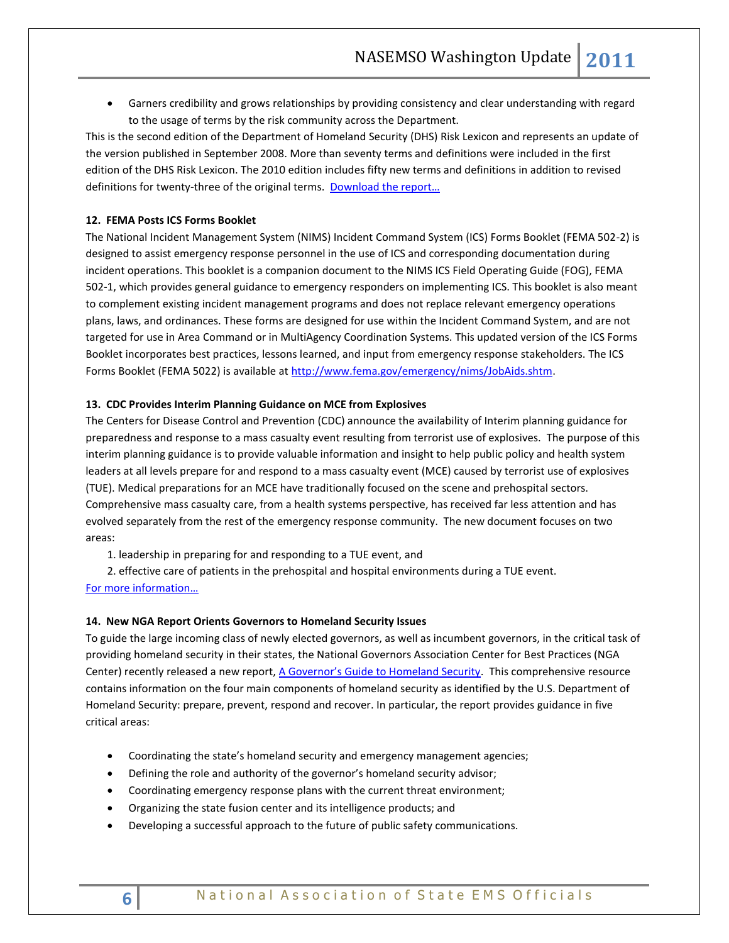Garners credibility and grows relationships by providing consistency and clear understanding with regard to the usage of terms by the risk community across the Department.

This is the second edition of the Department of Homeland Security (DHS) Risk Lexicon and represents an update of the version published in September 2008. More than seventy terms and definitions were included in the first edition of the DHS Risk Lexicon. The 2010 edition includes fifty new terms and definitions in addition to revised definitions for twenty-three of the original terms. Download the report...

### **12. FEMA Posts ICS Forms Booklet**

The National Incident Management System (NIMS) Incident Command System (ICS) Forms Booklet (FEMA 502-2) is designed to assist emergency response personnel in the use of ICS and corresponding documentation during incident operations. This booklet is a companion document to the NIMS ICS Field Operating Guide (FOG), FEMA 502-1, which provides general guidance to emergency responders on implementing ICS. This booklet is also meant to complement existing incident management programs and does not replace relevant emergency operations plans, laws, and ordinances. These forms are designed for use within the Incident Command System, and are not targeted for use in Area Command or in MultiAgency Coordination Systems. This updated version of the ICS Forms Booklet incorporates best practices, lessons learned, and input from emergency response stakeholders. The ICS Forms Booklet (FEMA 5022) is available at http://www.fema.gov/emergency/nims/JobAids.shtm.

### **13. CDC Provides Interim Planning Guidance on MCE from Explosives**

The Centers for Disease Control and Prevention (CDC) announce the availability of Interim planning guidance for preparedness and response to a mass casualty event resulting from terrorist use of explosives. The purpose of this interim planning guidance is to provide valuable information and insight to help public policy and health system leaders at all levels prepare for and respond to a mass casualty event (MCE) caused by terrorist use of explosives (TUE). Medical preparations for an MCE have traditionally focused on the scene and prehospital sectors. Comprehensive mass casualty care, from a health systems perspective, has received far less attention and has evolved separately from the rest of the emergency response community. The new document focuses on two areas:

1. leadership in preparing for and responding to a TUE event, and

2. effective care of patients in the prehospital and hospital environments during a TUE event.

## [For more information…](http://www.bt.cdc.gov/masscasualties/terrorist_explosives.asp)

### **14. New NGA Report Orients Governors to Homeland Security Issues**

To guide the large incoming class of newly elected governors, as well as incumbent governors, in the critical task of providing homeland security in their states, the National Governors Association Center for Best Practices (NGA Center) recently released a new report, [A Governor's Guide to Homeland Security](http://www.nga.org/Files/pdf/1011GOVGUIDEHS.PDF). This comprehensive resource contains information on the four main components of homeland security as identified by the U.S. Department of Homeland Security: prepare, prevent, respond and recover. In particular, the report provides guidance in five critical areas:

- Coordinating the state's homeland security and emergency management agencies;
- Defining the role and authority of the governor's homeland security advisor;
- Coordinating emergency response plans with the current threat environment;
- Organizing the state fusion center and its intelligence products; and
- Developing a successful approach to the future of public safety communications.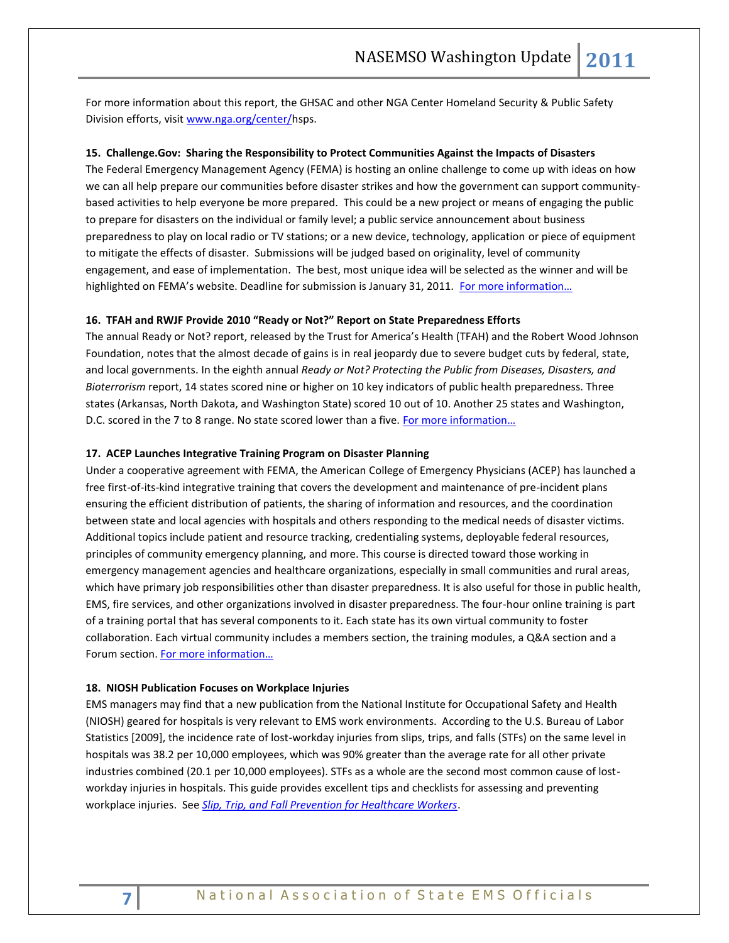For more information about this report, the GHSAC and other NGA Center Homeland Security & Public Safety Division efforts, visi[t www.nga.org/center/h](http://www.nga.org/center/)sps.

#### **15. Challenge.Gov: Sharing the Responsibility to Protect Communities Against the Impacts of Disasters**

The Federal Emergency Management Agency (FEMA) is hosting an online challenge to come up with ideas on how we can all help prepare our communities before disaster strikes and how the government can support communitybased activities to help everyone be more prepared. This could be a new project or means of engaging the public to prepare for disasters on the individual or family level; a public service announcement about business preparedness to play on local radio or TV stations; or a new device, technology, application or piece of equipment to mitigate the effects of disaster. Submissions will be judged based on originality, level of community engagement, and ease of implementation. The best, most unique idea will be selected as the winner and will be highlighted on FEMA's website. Deadline for submission is January 31, 2011. For more information...

#### **16. TFAH and RWJF Provide 2010 "Ready or Not?" Report on State Preparedness Efforts**

The annual Ready or Not? report, released by the Trust for America's Health (TFAH) and the Robert Wood Johnson Foundation, notes that the almost decade of gains is in real jeopardy due to severe budget cuts by federal, state, and local governments. In the eighth annual *Ready or Not? Protecting the Public from Diseases, Disasters, and Bioterrorism* report, 14 states scored nine or higher on 10 key indicators of public health preparedness. Three states (Arkansas, North Dakota, and Washington State) scored 10 out of 10. Another 25 states and Washington, D.C. scored in the 7 to 8 range. No state scored lower than a five. [For more information…](http://www.rwjf.org/pr/product.jsp?id=71566)

#### **17. ACEP Launches Integrative Training Program on Disaster Planning**

Under a cooperative agreement with FEMA, the American College of Emergency Physicians (ACEP) has launched a free first-of-its-kind integrative training that covers the development and maintenance of pre-incident plans ensuring the efficient distribution of patients, the sharing of information and resources, and the coordination between state and local agencies with hospitals and others responding to the medical needs of disaster victims. Additional topics include patient and resource tracking, credentialing systems, deployable federal resources, principles of community emergency planning, and more. This course is directed toward those working in emergency management agencies and healthcare organizations, especially in small communities and rural areas, which have primary job responsibilities other than disaster preparedness. It is also useful for those in public health, EMS, fire services, and other organizations involved in disaster preparedness. The four-hour online training is part of a training portal that has several components to it. Each state has its own virtual community to foster collaboration. Each virtual community includes a members section, the training modules, a Q&A section and a Forum section. For more information...

#### **18. NIOSH Publication Focuses on Workplace Injuries**

EMS managers may find that a new publication from the National Institute for Occupational Safety and Health (NIOSH) geared for hospitals is very relevant to EMS work environments. According to the U.S. Bureau of Labor Statistics [2009], the incidence rate of lost-workday injuries from slips, trips, and falls (STFs) on the same level in hospitals was 38.2 per 10,000 employees, which was 90% greater than the average rate for all other private industries combined (20.1 per 10,000 employees). STFs as a whole are the second most common cause of lostworkday injuries in hospitals. This guide provides excellent tips and checklists for assessing and preventing workplace injuries. See *[Slip, Trip, and Fall Prevention for Healthcare Workers](http://www.cdc.gov/niosh/docs/2011-123/pdfs/2011-123.pdf)*.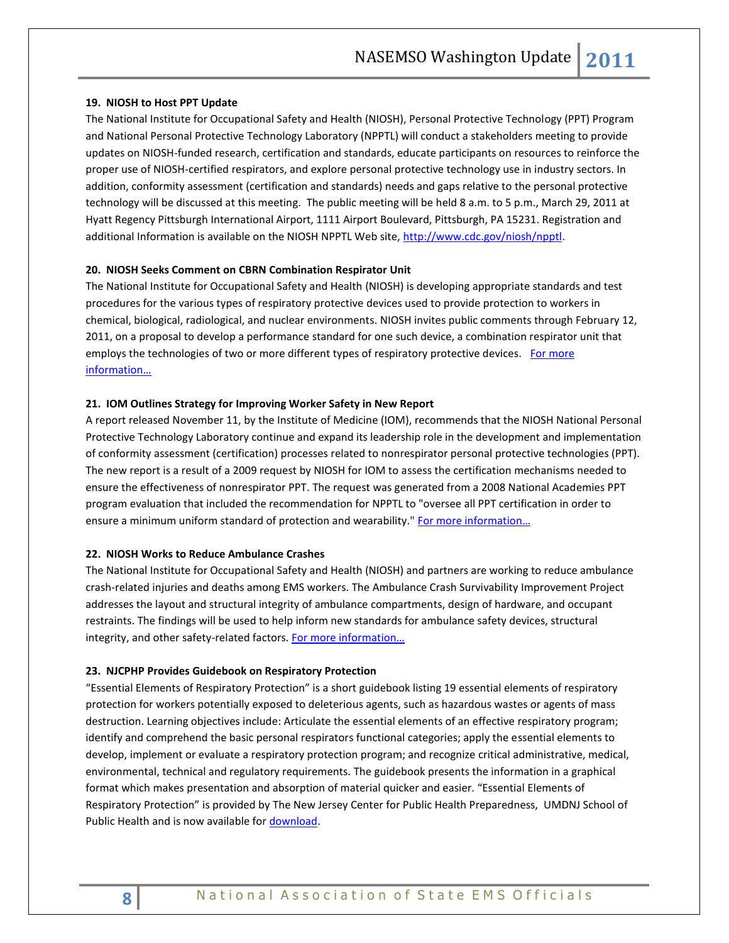### **19. NIOSH to Host PPT Update**

The National Institute for Occupational Safety and Health (NIOSH), Personal Protective Technology (PPT) Program and National Personal Protective Technology Laboratory (NPPTL) will conduct a stakeholders meeting to provide updates on NIOSH-funded research, certification and standards, educate participants on resources to reinforce the proper use of NIOSH-certified respirators, and explore personal protective technology use in industry sectors. In addition, conformity assessment (certification and standards) needs and gaps relative to the personal protective technology will be discussed at this meeting. The public meeting will be held 8 a.m. to 5 p.m., March 29, 2011 at Hyatt Regency Pittsburgh International Airport, 1111 Airport Boulevard, Pittsburgh, PA 15231. Registration and additional Information is available on the NIOSH NPPTL Web site[, http://www.cdc.gov/niosh/npptl.](http://frwebgate.access.gpo.gov/cgi-bin/leaving.cgi?from=leavingFR.html&log=linklog&to=http://www.cdc.gov/niosh/npptl)

### **20. NIOSH Seeks Comment on CBRN Combination Respirator Unit**

The National Institute for Occupational Safety and Health (NIOSH) is developing appropriate standards and test procedures for the various types of respiratory protective devices used to provide protection to workers in chemical, biological, radiological, and nuclear environments. NIOSH invites public comments through February 12, 2011, on a proposal to develop a performance standard for one such device, a combination respirator unit that employs the technologies of two or more different types of respiratory protective devices. For more [information…](http://www.cdc.gov/niosh/docket/review/docket082A/)

### **21. IOM Outlines Strategy for Improving Worker Safety in New Report**

A report released November 11, by the Institute of Medicine (IOM), recommends that the NIOSH National Personal Protective Technology Laboratory continue and expand its leadership role in the development and implementation of conformity assessment (certification) processes related to nonrespirator personal protective technologies (PPT). The new report is a result of a 2009 request by NIOSH for IOM to assess the certification mechanisms needed to ensure the effectiveness of nonrespirator PPT. The request was generated from a 2008 National Academies PPT program evaluation that included the recommendation for NPPTL to "oversee all PPT certification in order to ensure a minimum uniform standard of protection and wearability." [For more information](http://www.nap.edu/catalog.php?record_id=12962)...

#### **22. NIOSH Works to Reduce Ambulance Crashes**

The National Institute for Occupational Safety and Health (NIOSH) and partners are working to reduce ambulance crash-related injuries and deaths among EMS workers. The Ambulance Crash Survivability Improvement Project addresses the layout and structural integrity of ambulance compartments, design of hardware, and occupant restraints. The findings will be used to help inform new standards for ambulance safety devices, structural integrity, and other safety-related factors. [For more information…](http://www.cdc.gov/niosh/docs/2010-164/pdfs/AmbulanceCrash.pdf)

#### **23. NJCPHP Provides Guidebook on Respiratory Protection**

"Essential Elements of Respiratory Protection" is a short guidebook listing 19 essential elements of respiratory protection for workers potentially exposed to deleterious agents, such as hazardous wastes or agents of mass destruction. Learning objectives include: Articulate the essential elements of an effective respiratory program; identify and comprehend the basic personal respirators functional categories; apply the essential elements to develop, implement or evaluate a respiratory protection program; and recognize critical administrative, medical, environmental, technical and regulatory requirements. The guidebook presents the information in a graphical format which makes presentation and absorption of material quicker and easier. "Essential Elements of Respiratory Protection" is provided by The New Jersey Center for Public Health Preparedness, UMDNJ School of Public Health and is now available for [download.](http://www.njcphp.org/legacy/drup/index.php?q=node/34)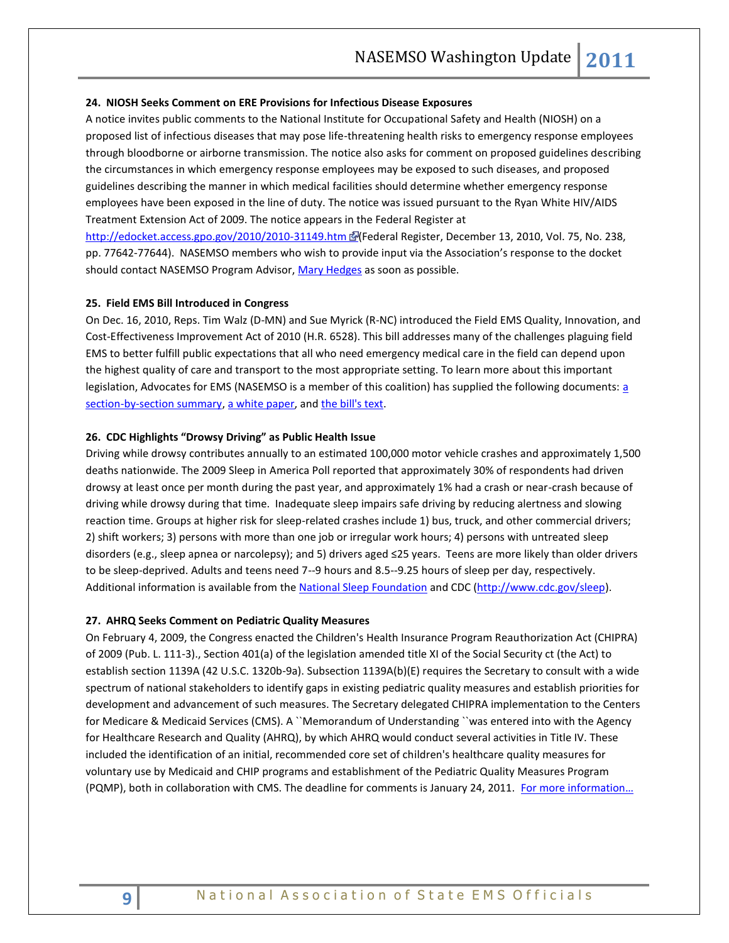#### **24. NIOSH Seeks Comment on ERE Provisions for Infectious Disease Exposures**

A notice invites public comments to the National Institute for Occupational Safety and Health (NIOSH) on a proposed list of infectious diseases that may pose life-threatening health risks to emergency response employees through bloodborne or airborne transmission. The notice also asks for comment on proposed guidelines describing the circumstances in which emergency response employees may be exposed to such diseases, and proposed guidelines describing the manner in which medical facilities should determine whether emergency response employees have been exposed in the line of duty. The notice was issued pursuant to the Ryan White HIV/AIDS Treatment Extension Act of 2009. The notice appears in the Federal Register at

http://edocket.access.gpo.gov/2010/2010-31149.htm @(Federal Register, December 13, 2010, Vol. 75, No. 238, pp. 77642-77644). NASEMSO members who wish to provide input via the Association's response to the docket should contact NASEMSO Program Advisor, [Mary Hedges](mailto:hedges@nasemso.org) as soon as possible.

#### **25. Field EMS Bill Introduced in Congress**

On Dec. 16, 2010, Reps. Tim Walz (D-MN) and Sue Myrick (R-NC) introduced the Field EMS Quality, Innovation, and Cost-Effectiveness Improvement Act of 2010 (H.R. 6528). This bill addresses many of the challenges plaguing field EMS to better fulfill public expectations that all who need emergency medical care in the field can depend upon the highest quality of care and transport to the most appropriate setting. To learn more about this important legislation, Advocates for EMS (NASEMSO is [a](http://www.nasemso.org/documents/H.R._6528_Field_EMS_Bill_Section_by_Section.pdf) member of this coalition) has supplied the following documents: a [section-by-section summary,](http://www.nasemso.org/documents/H.R._6528_Field_EMS_Bill_Section_by_Section.pdf) [a white paper,](http://www.nasemso.org/documents/H.R._6528_Field_EMS_Bill_White_Paper.pdf) and [the bill's text.](http://www.nasemso.org/documents/HR_6528_Field_EMS_Bill_text.pdf)

#### **26. CDC Highlights "Drowsy Driving" as Public Health Issue**

Driving while drowsy contributes annually to an estimated 100,000 motor vehicle crashes and approximately 1,500 deaths nationwide. The 2009 Sleep in America Poll reported that approximately 30% of respondents had driven drowsy at least once per month during the past year, and approximately 1% had a crash or near-crash because of driving while drowsy during that time. Inadequate sleep impairs safe driving by reducing alertness and slowing reaction time. Groups at higher risk for sleep-related crashes include 1) bus, truck, and other commercial drivers; 2) shift workers; 3) persons with more than one job or irregular work hours; 4) persons with untreated sleep disorders (e.g., sleep apnea or narcolepsy); and 5) drivers aged ≤25 years. Teens are more likely than older drivers to be sleep-deprived. Adults and teens need 7--9 hours and 8.5--9.25 hours of sleep per day, respectively. Additional information is available from the [National Sleep Foundation](http://drowsydriving.org/) and CDC [\(http://www.cdc.gov/sleep\)](http://www.cdc.gov/sleep).

#### **27. AHRQ Seeks Comment on Pediatric Quality Measures**

On February 4, 2009, the Congress enacted the Children's Health Insurance Program Reauthorization Act (CHIPRA) of 2009 (Pub. L. 111-3)., Section 401(a) of the legislation amended title XI of the Social Security ct (the Act) to establish section 1139A (42 U.S.C. 1320b-9a). Subsection 1139A(b)(E) requires the Secretary to consult with a wide spectrum of national stakeholders to identify gaps in existing pediatric quality measures and establish priorities for development and advancement of such measures. The Secretary delegated CHIPRA implementation to the Centers for Medicare & Medicaid Services (CMS). A ``Memorandum of Understanding ``was entered into with the Agency for Healthcare Research and Quality (AHRQ), by which AHRQ would conduct several activities in Title IV. These included the identification of an initial, recommended core set of children's healthcare quality measures for voluntary use by Medicaid and CHIP programs and establishment of the Pediatric Quality Measures Program (PQMP), both in collaboration with CMS. The deadline for comments is January 24, 2011. [For more information…](http://edocket.access.gpo.gov/2010/2010-30262.htm)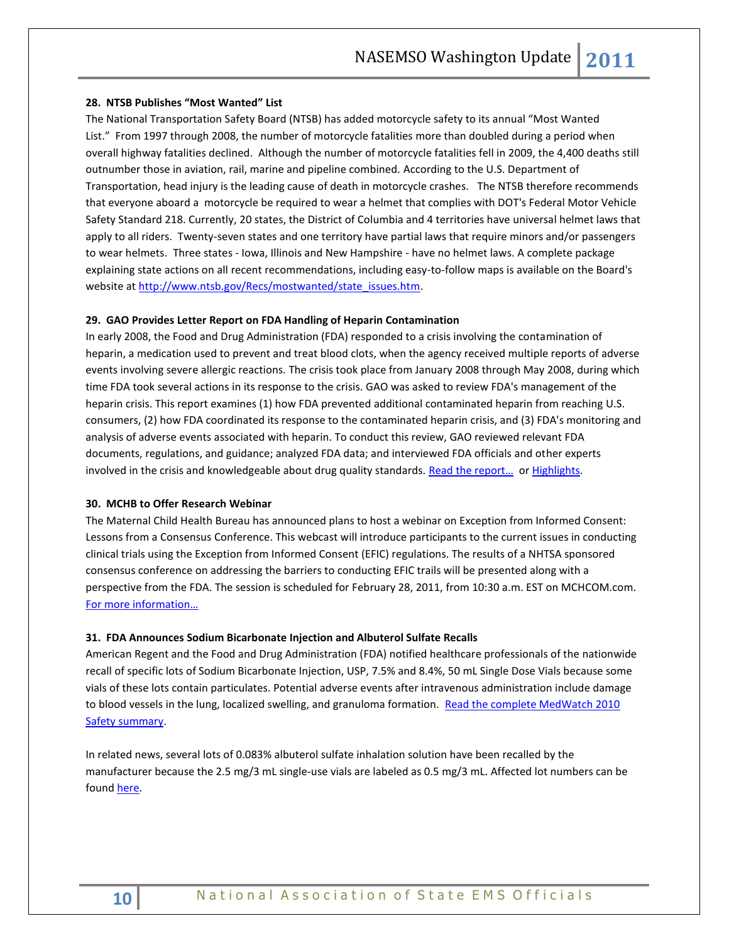#### **28. NTSB Publishes "Most Wanted" List**

The National Transportation Safety Board (NTSB) has added motorcycle safety to its annual "Most Wanted List." From 1997 through 2008, the number of motorcycle fatalities more than doubled during a period when overall highway fatalities declined. Although the number of motorcycle fatalities fell in 2009, the 4,400 deaths still outnumber those in aviation, rail, marine and pipeline combined. According to the U.S. Department of Transportation, head injury is the leading cause of death in motorcycle crashes. The NTSB therefore recommends that everyone aboard a motorcycle be required to wear a helmet that complies with DOT's Federal Motor Vehicle Safety Standard 218. Currently, 20 states, the District of Columbia and 4 territories have universal helmet laws that apply to all riders. Twenty-seven states and one territory have partial laws that require minors and/or passengers to wear helmets. Three states - Iowa, Illinois and New Hampshire - have no helmet laws. A complete package explaining state actions on all recent recommendations, including easy-to-follow maps is available on the Board's website a[t http://www.ntsb.gov/Recs/mostwanted/state\\_issues.htm.](http://www.ntsb.gov/Recs/mostwanted/state_issues.htm)

#### **29. GAO Provides Letter Report on FDA Handling of Heparin Contamination**

In early 2008, the Food and Drug Administration (FDA) responded to a crisis involving the contamination of heparin, a medication used to prevent and treat blood clots, when the agency received multiple reports of adverse events involving severe allergic reactions. The crisis took place from January 2008 through May 2008, during which time FDA took several actions in its response to the crisis. GAO was asked to review FDA's management of the heparin crisis. This report examines (1) how FDA prevented additional contaminated heparin from reaching U.S. consumers, (2) how FDA coordinated its response to the contaminated heparin crisis, and (3) FDA's monitoring and analysis of adverse events associated with heparin. To conduct this review, GAO reviewed relevant FDA documents, regulations, and guidance; analyzed FDA data; and interviewed FDA officials and other experts involved in the crisis and knowledgeable about drug quality standards. Read the report... or [Highlights.](http://www.gao.gov/highlights/d1195high.pdf)

### **30. MCHB to Offer Research Webinar**

The Maternal Child Health Bureau has announced plans to host a webinar on Exception from Informed Consent: Lessons from a Consensus Conference. This webcast will introduce participants to the current issues in conducting clinical trials using the Exception from Informed Consent (EFIC) regulations. The results of a NHTSA sponsored consensus conference on addressing the barriers to conducting EFIC trails will be presented along with a perspective from the FDA. The session is scheduled for February 28, 2011, from 10:30 a.m. EST on MCHCOM.com. [For more information…](http://www.mchcom.com/LiveWebcastDetail.asp)

#### **31. FDA Announces Sodium Bicarbonate Injection and Albuterol Sulfate Recalls**

American Regent and the Food and Drug Administration (FDA) notified healthcare professionals of the nationwide recall of specific lots of Sodium Bicarbonate Injection, USP, 7.5% and 8.4%, 50 mL Single Dose Vials because some vials of these lots contain particulates. Potential adverse events after intravenous administration include damage to blood vessels in the lung, localized swelling, and granuloma formation. Read the complete MedWatch 2010 [Safety summary.](http://www.fda.gov/Safety/MedWatch/SafetyInformation/SafetyAlertsforHumanMedicalProducts/ucm238323.htm)

In related news, several lots of 0.083% albuterol sulfate inhalation solution have been recalled by the manufacturer because the 2.5 mg/3 mL single-use vials are labeled as 0.5 mg/3 mL. Affected lot numbers can be foun[d here.](http://www.fda.gov/Safety/MedWatch/SafetyInformation/SafetyAlertsforHumanMedicalProducts/ucm238624.htm)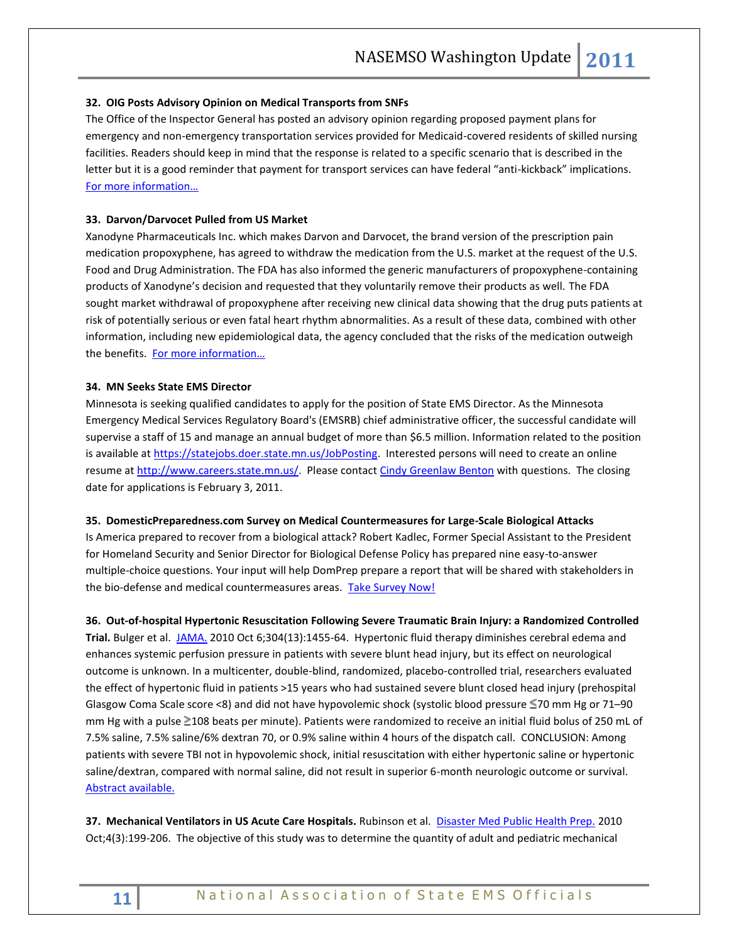#### **32. OIG Posts Advisory Opinion on Medical Transports from SNFs**

The Office of the Inspector General has posted an advisory opinion regarding proposed payment plans for emergency and non-emergency transportation services provided for Medicaid-covered residents of skilled nursing facilities. Readers should keep in mind that the response is related to a specific scenario that is described in the letter but it is a good reminder that payment for transport services can have federal "anti-kickback" implications. [For more information…](http://oig.hhs.gov/fraud/docs/advisoryopinions/2010/AdvOpn10-26.pdf)

#### **33. Darvon/Darvocet Pulled from US Market**

Xanodyne Pharmaceuticals Inc. which makes Darvon and Darvocet, the brand version of the prescription pain medication propoxyphene, has agreed to withdraw the medication from the U.S. market at the request of the U.S. Food and Drug Administration. The FDA has also informed the generic manufacturers of propoxyphene-containing products of Xanodyne's decision and requested that they voluntarily remove their products as well. The FDA sought market withdrawal of propoxyphene after receiving new clinical data showing that the drug puts patients at risk of potentially serious or even fatal heart rhythm abnormalities. As a result of these data, combined with other information, including new epidemiological data, the agency concluded that the risks of the medication outweigh the benefits. [For more information](http://www.fda.gov/NewsEvents/Newsroom/PressAnnouncements/ucm234350.htm)…

#### **34. MN Seeks State EMS Director**

Minnesota is seeking qualified candidates to apply for the position of State EMS Director. As the Minnesota Emergency Medical Services Regulatory Board's (EMSRB) chief administrative officer, the successful candidate will supervise a staff of 15 and manage an annual budget of more than \$6.5 million. Information related to the position is available at [https://statejobs.doer.state.mn.us/JobPosting.](https://statejobs.doer.state.mn.us/JobPosting) Interested persons will need to create an online resume at [http://www.careers.state.mn.us/.](http://www.careers.state.mn.us/) Please contact [Cindy Greenlaw Benton](mailto:cindy.benton@state.mn.us) with questions. The closing date for applications is February 3, 2011.

#### **35. DomesticPreparedness.com Survey on Medical Countermeasures for Large-Scale Biological Attacks**

Is America prepared to recover from a biological attack? Robert Kadlec, Former Special Assistant to the President for Homeland Security and Senior Director for Biological Defense Policy has prepared nine easy-to-answer multiple-choice questions. Your input will help DomPrep prepare a report that will be shared with stakeholders in the bio-defense and medical countermeasures areas. [Take Survey Now!](http://www.industrymailout.com/Industry/Redirect.aspx?u=341412&q=268771642&lm=29250328&r=247635&qz=25d5fafdeea507d07876cbce26c1cf17)

**36. Out-of-hospital Hypertonic Resuscitation Following Severe Traumatic Brain Injury: a Randomized Controlled Trial.** Bulger et al. [JAMA.](javascript:AL_get(this,%20) 2010 Oct 6;304(13):1455-64. Hypertonic fluid therapy diminishes cerebral edema and enhances systemic perfusion pressure in patients with severe blunt head injury, but its effect on neurological outcome is unknown. In a multicenter, double-blind, randomized, placebo-controlled trial, researchers evaluated the effect of hypertonic fluid in patients >15 years who had sustained severe blunt closed head injury (prehospital Glasgow Coma Scale score <8) and did not have hypovolemic shock (systolic blood pressure ≤70 mm Hg or 71–90 mm Hg with a pulse 2108 beats per minute). Patients were randomized to receive an initial fluid bolus of 250 mL of 7.5% saline, 7.5% saline/6% dextran 70, or 0.9% saline within 4 hours of the dispatch call. CONCLUSION: Among patients with severe TBI not in hypovolemic shock, initial resuscitation with either hypertonic saline or hypertonic saline/dextran, compared with normal saline, did not result in superior 6-month neurologic outcome or survival. [Abstract available.](http://jama.ama-assn.org/content/304/13/1455.abstract)

**37. Mechanical Ventilators in US Acute Care Hospitals.** Rubinson et al. [Disaster Med Public Health Prep.](javascript:AL_get(this,%20) 2010 Oct;4(3):199-206. The objective of this study was to determine the quantity of adult and pediatric mechanical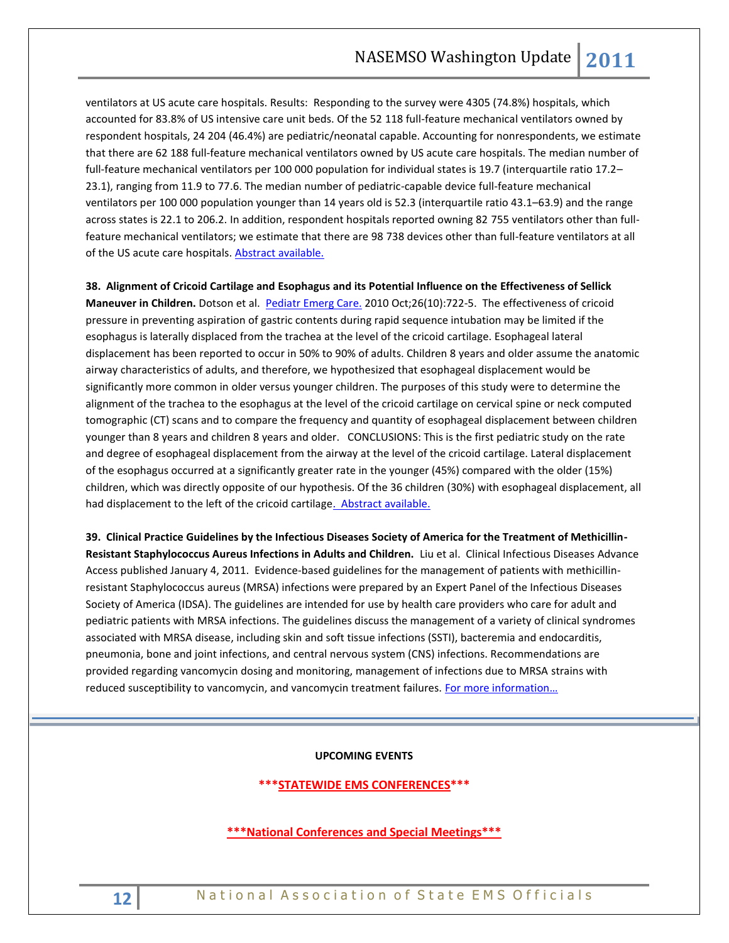ventilators at US acute care hospitals. Results: Responding to the survey were 4305 (74.8%) hospitals, which accounted for 83.8% of US intensive care unit beds. Of the 52 118 full-feature mechanical ventilators owned by respondent hospitals, 24 204 (46.4%) are pediatric/neonatal capable. Accounting for nonrespondents, we estimate that there are 62 188 full-feature mechanical ventilators owned by US acute care hospitals. The median number of full-feature mechanical ventilators per 100 000 population for individual states is 19.7 (interquartile ratio 17.2– 23.1), ranging from 11.9 to 77.6. The median number of pediatric-capable device full-feature mechanical ventilators per 100 000 population younger than 14 years old is 52.3 (interquartile ratio 43.1–63.9) and the range across states is 22.1 to 206.2. In addition, respondent hospitals reported owning 82 755 ventilators other than fullfeature mechanical ventilators; we estimate that there are 98 738 devices other than full-feature ventilators at all of the US acute care hospitals[. Abstract available.](http://www.dmphp.org/cgi/content/short/4/3/199)

**38. Alignment of Cricoid Cartilage and Esophagus and its Potential Influence on the Effectiveness of Sellick Maneuver in Children.** Dotson et al. [Pediatr Emerg Care.](javascript:AL_get(this,%20) 2010 Oct;26(10):722-5. The effectiveness of cricoid pressure in preventing aspiration of gastric contents during rapid sequence intubation may be limited if the esophagus is laterally displaced from the trachea at the level of the cricoid cartilage. Esophageal lateral displacement has been reported to occur in 50% to 90% of adults. Children 8 years and older assume the anatomic airway characteristics of adults, and therefore, we hypothesized that esophageal displacement would be significantly more common in older versus younger children. The purposes of this study were to determine the alignment of the trachea to the esophagus at the level of the cricoid cartilage on cervical spine or neck computed tomographic (CT) scans and to compare the frequency and quantity of esophageal displacement between children younger than 8 years and children 8 years and older. CONCLUSIONS: This is the first pediatric study on the rate and degree of esophageal displacement from the airway at the level of the cricoid cartilage. Lateral displacement of the esophagus occurred at a significantly greater rate in the younger (45%) compared with the older (15%) children, which was directly opposite of our hypothesis. Of the 36 children (30%) with esophageal displacement, all had displacement to the left of the cricoid cartilage. Abstract available.

**39. Clinical Practice Guidelines by the Infectious Diseases Society of America for the Treatment of Methicillin-Resistant Staphylococcus Aureus Infections in Adults and Children.** Liu et al. Clinical Infectious Diseases Advance Access published January 4, 2011. Evidence-based guidelines for the management of patients with methicillinresistant Staphylococcus aureus (MRSA) infections were prepared by an Expert Panel of the Infectious Diseases Society of America (IDSA). The guidelines are intended for use by health care providers who care for adult and pediatric patients with MRSA infections. The guidelines discuss the management of a variety of clinical syndromes associated with MRSA disease, including skin and soft tissue infections (SSTI), bacteremia and endocarditis, pneumonia, bone and joint infections, and central nervous system (CNS) infections. Recommendations are provided regarding vancomycin dosing and monitoring, management of infections due to MRSA strains with reduced susceptibility to vancomycin, and vancomycin treatment failures. [For more information…](http://cid.oxfordjournals.org/content/early/2011/01/04/cid.ciq146.full.pdf+html)

#### **UPCOMING EVENTS**

## **\*\*\*STATEWIDE EMS CONFERENCES\*\*\***

## **\*\*\*National Conferences and Special Meetings\*\*\***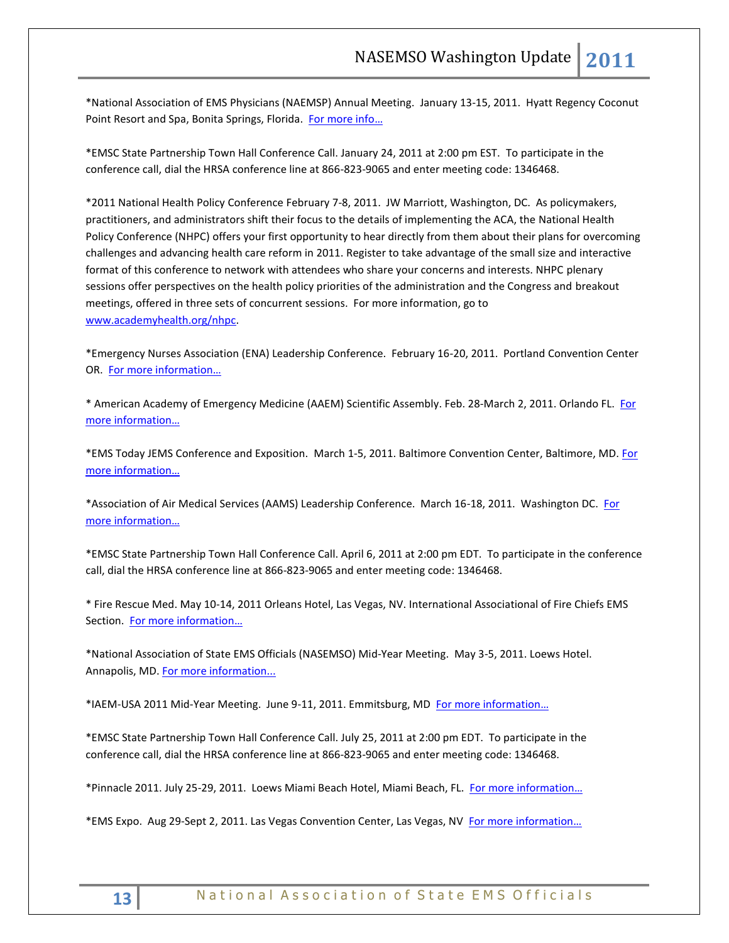\*National Association of EMS Physicians (NAEMSP) Annual Meeting. January 13-15, 2011. Hyatt Regency Coconut Point Resort and Spa, Bonita Springs, Florida. [For more info](http://www.naemsp.org/)…

\*EMSC State Partnership Town Hall Conference Call. January 24, 2011 at 2:00 pm EST. To participate in the conference call, dial the HRSA conference line at 866-823-9065 and enter meeting code: 1346468.

\*2011 National Health Policy Conference February 7-8, 2011. JW Marriott, Washington, DC. As policymakers, practitioners, and administrators shift their focus to the details of implementing the ACA, the National Health Policy Conference (NHPC) offers your first opportunity to hear directly from them about their plans for overcoming challenges and advancing health care reform in 2011. Register to take advantage of the small size and interactive format of this conference to network with attendees who share your concerns and interests. NHPC plenary sessions offer perspectives on the health policy priorities of the administration and the Congress and breakout meetings, offered in three sets of concurrent sessions. For more information, go to [www.academyhealth.org/nhpc.](http://www.academyhealth.org/nhpc)

\*Emergency Nurses Association (ENA) Leadership Conference. February 16-20, 2011. Portland Convention Center OR. [For more information](http://www.ena.org/)…

\* American Academy of Emergency Medicine (AAEM) Scientific Assembly. Feb. 28-March 2, 2011. Orlando FL. [For](http://www.aaem.org/education/scientificassembly/)  [more information](http://www.aaem.org/education/scientificassembly/)…

\*EMS Today JEMS Conference and Exposition. March 1-5, 2011. Baltimore Convention Center, Baltimore, MD[. For](http://www.emstoday.com/)  [more information](http://www.emstoday.com/)…

\*Association of Air Medical Services (AAMS) Leadership Conference. March 16-18, 2011. Washington DC. For [more information](http://www.aams.org/)…

\*EMSC State Partnership Town Hall Conference Call. April 6, 2011 at 2:00 pm EDT. To participate in the conference call, dial the HRSA conference line at 866-823-9065 and enter meeting code: 1346468.

\* Fire Rescue Med. May 10-14, 2011 Orleans Hotel, Las Vegas, NV. International Associational of Fire Chiefs EMS Section. [For more information](http://www.iafc.org/displaycommon.cfm?an=1&subarticlenbr=6)…

\*National Association of State EMS Officials (NASEMSO) Mid-Year Meeting. May 3-5, 2011. Loews Hotel. Annapolis, MD. [For more information...](http://www.nasemso.org/)

\*IAEM-USA 2011 Mid-Year Meeting. June 9-11, 2011. Emmitsburg, MD [For more information](http://www.iaem.com/)…

\*EMSC State Partnership Town Hall Conference Call. July 25, 2011 at 2:00 pm EDT. To participate in the conference call, dial the HRSA conference line at 866-823-9065 and enter meeting code: 1346468.

\*Pinnacle 2011. July 25-29, 2011. Loews Miami Beach Hotel, Miami Beach, FL. [For more information](http://www.pinnacle-ems.com/)…

\*EMS Expo. Aug 29-Sept 2, 2011. Las Vegas Convention Center, Las Vegas, NV [For more information](http://www.publicsafetyevents.com/index.po)…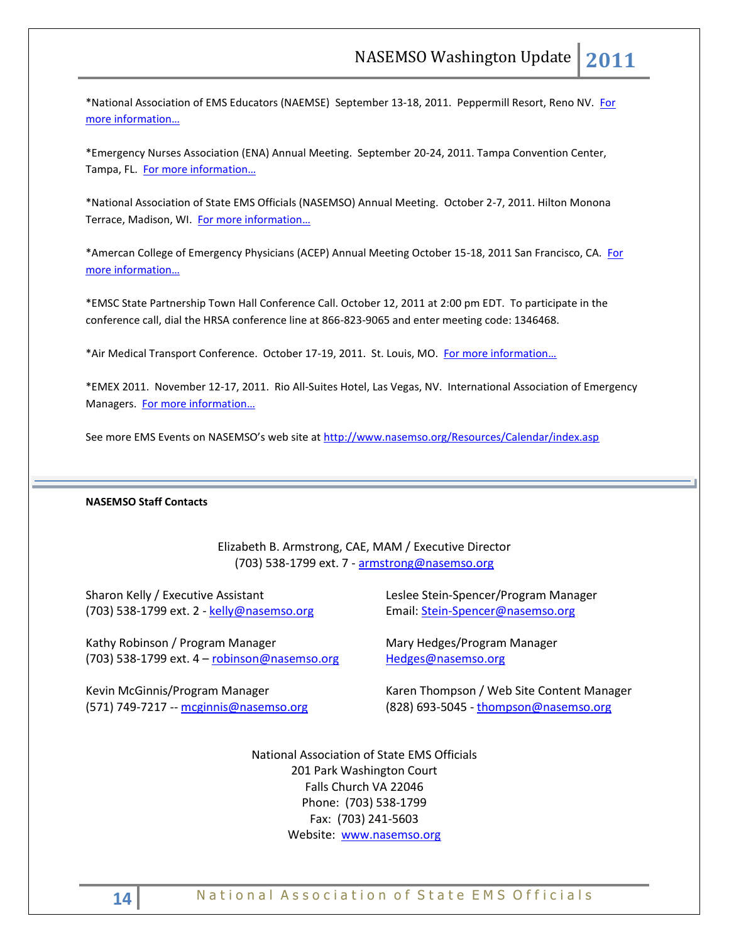\*National Association of EMS Educators (NAEMSE) September 13-18, 2011. Peppermill Resort, Reno NV. [For](http://www.naemse.org/symposium)  [more information](http://www.naemse.org/symposium)…

\*Emergency Nurses Association (ENA) Annual Meeting. September 20-24, 2011. Tampa Convention Center, Tampa, FL. [For more information](http://www.ena.org/Pages/default.aspx)…

\*National Association of State EMS Officials (NASEMSO) Annual Meeting. October 2-7, 2011. Hilton Monona Terrace, Madison, WI. [For more information](http://www.nasemso.org/)...

\*Amercan College of Emergency Physicians (ACEP) Annual Meeting October 15-18, 2011 San Francisco, CA. For [more information](http://www.acep.org/)…

\*EMSC State Partnership Town Hall Conference Call. October 12, 2011 at 2:00 pm EDT. To participate in the conference call, dial the HRSA conference line at 866-823-9065 and enter meeting code: 1346468.

\*Air Medical Transport Conference. October 17-19, 2011. St. Louis, MO. [For more information](http://www.aams.org/)...

\*EMEX 2011. November 12-17, 2011. Rio All-Suites Hotel, Las Vegas, NV. International Association of Emergency Managers. [For more information](http://www.iaem.com/)...

See more EMS Events on NASEMSO's web site at <http://www.nasemso.org/Resources/Calendar/index.asp>

#### **NASEMSO Staff Contacts**

Elizabeth B. Armstrong, CAE, MAM / Executive Director (703) 538-1799 ext. 7 - [armstrong@nasemso.org](mailto:armstrong@nasemso.org)

Sharon Kelly / Executive Assistant (703) 538-1799 ext. 2 - [kelly@nasemso.org](mailto:kelly@nasemso.org)

Kathy Robinson / Program Manager (703) 538-1799 ext. 4 – [robinson@nasemso.org](mailto:robinson@nasemso.org)

Kevin McGinnis/Program Manager (571) 749-7217 -- [mcginnis@nasemso.org](mailto:mcginnis@nasemso.org) Leslee Stein-Spencer/Program Manager Email: [Stein-Spencer@nasemso.org](mailto:Stein-Spencer@nasemso.org)

Mary Hedges/Program Manager [Hedges@nasemso.org](mailto:Hedges@nasemso.org)

Karen Thompson / Web Site Content Manager (828) 693-5045 - [thompson@nasemso.org](mailto:thompson@nasemso.org)

National Association of State EMS Officials 201 Park Washington Court Falls Church VA 22046 Phone: (703) 538-1799 Fax: (703) 241-5603 Website: [www.nasemso.org](http://www.nasemso.org/)